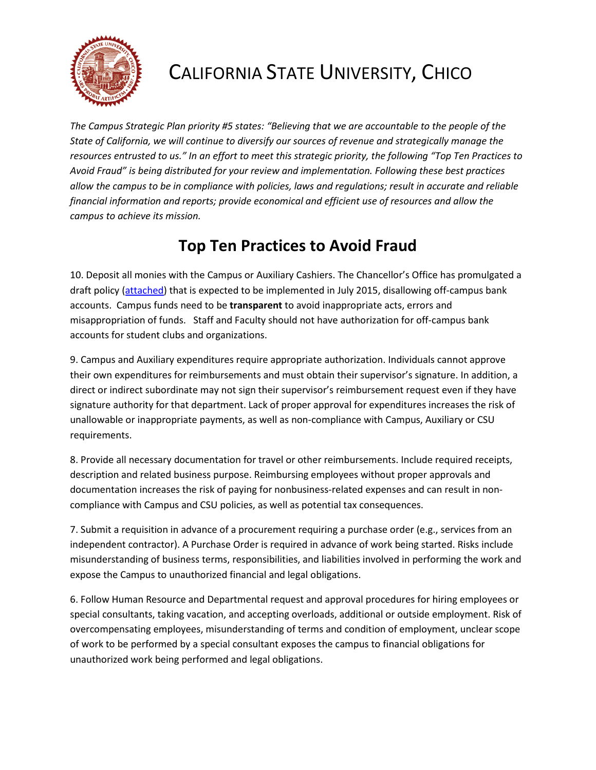

## CALIFORNIA STATE UNIVERSITY, CHICO

*The Campus Strategic Plan priority #5 states: "Believing that we are accountable to the people of the State of California, we will continue to diversify our sources of revenue and strategically manage the resources entrusted to us." In an effort to meet this strategic priority, the following "Top Ten Practices to Avoid Fraud" is being distributed for your review and implementation. Following these best practices allow the campus to be in compliance with policies, laws and regulations; result in accurate and reliable financial information and reports; provide economical and efficient use of resources and allow the campus to achieve its mission.* 

## **Top Ten Practices to Avoid Fraud**

10. Deposit all monies with the Campus or Auxiliary Cashiers. The Chancellor's Office has promulgated a draft policy (attached) that is expected to be implemented in July 2015, disallowing off-campus bank accounts. Campus funds need to be **transparent** to avoid inappropriate acts, errors and misappropriation of funds. Staff and Faculty should not have authorization for off-campus bank accounts for student clubs and organizations.

9. Campus and Auxiliary expenditures require appropriate authorization. Individuals cannot approve their own expenditures for reimbursements and must obtain their supervisor's signature. In addition, a direct or indirect subordinate may not sign their supervisor's reimbursement request even if they have signature authority for that department. Lack of proper approval for expenditures increases the risk of unallowable or inappropriate payments, as well as non-compliance with Campus, Auxiliary or CSU requirements.

8. Provide all necessary documentation for travel or other reimbursements. Include required receipts, description and related business purpose. Reimbursing employees without proper approvals and documentation increases the risk of paying for nonbusiness-related expenses and can result in noncompliance with Campus and CSU policies, as well as potential tax consequences.

7. Submit a requisition in advance of a procurement requiring a purchase order (e.g., services from an independent contractor). A Purchase Order is required in advance of work being started. Risks include misunderstanding of business terms, responsibilities, and liabilities involved in performing the work and expose the Campus to unauthorized financial and legal obligations.

6. Follow Human Resource and Departmental request and approval procedures for hiring employees or special consultants, taking vacation, and accepting overloads, additional or outside employment. Risk of overcompensating employees, misunderstanding of terms and condition of employment, unclear scope of work to be performed by a special consultant exposes the campus to financial obligations for unauthorized work being performed and legal obligations.